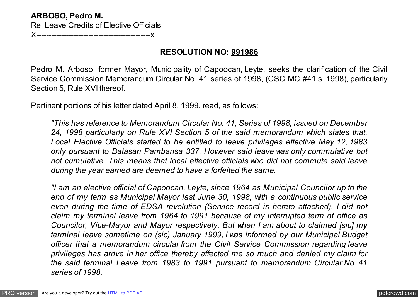## **ARBOSO, Pedro M.** Re: Leave Credits of Elective Officials **X----------------------------**

# **RESOLUTION NO: 991986**

Pedro M. Arboso, former Mayor, Municipality of Capoocan, Leyte, seeks the clarification of the Civil Service Commission Memorandum Circular No. 41 series of 1998, (CSC MC #41 s. 1998), particularly Section 5, Rule XVI thereof.

Pertinent portions of his letter dated April 8, 1999, read, as follows:

*"This has reference to Memorandum Circular No. 41, Series of 1998, issued on December 24, 1998 particularly on Rule XVI Section 5 of the said memorandum which states that, Local Elective Officials started to be entitled to leave privileges effective May 12, 1983 only pursuant to Batasan Pambansa 337. However said leave was only commutative but not cumulative. This means that local effective officials who did not commute said leave during the year earned are deemed to have a forfeited the same.*

*"I am an elective official of Capoocan, Leyte, since 1964 as Municipal Councilor up to the end of my term as Municipal Mayor last June 30, 1998, with a continuous public service even during the time of EDSA revolution (Service record is hereto attached). I did not claim my terminal leave from 1964 to 1991 because of my interrupted term of office as Councilor, Vice-Mayor and Mayor respectively. But when I am about to claimed [sic] my terminal leave sometime on (sic) January 1999, I was informed by our Municipal Budget officer that a memorandum circular from the Civil Service Commission regarding leave privileges has arrive in her office thereby affected me so much and denied my claim for the said terminal Leave from 1983 to 1991 pursuant to memorandum Circular No. 41 series of 1998.*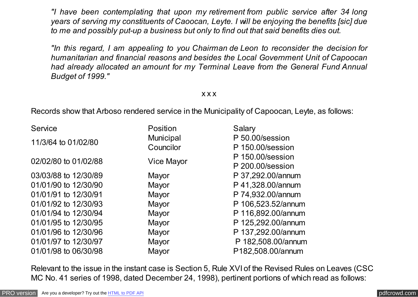*"I have been contemplating that upon my retirement from public service after 34 long years of serving my constituents of Caoocan, Leyte. I will be enjoying the benefits [sic] due to me and possibly put-up a business but only to find out that said benefits dies out.*

*"In this regard, I am appealing to you Chairman de Leon to reconsider the decision for humanitarian and financial reasons and besides the Local Government Unit of Capoocan had already allocated an amount for my Terminal Leave from the General Fund Annual Budget of 1999."*

## x x x

Records show that Arboso rendered service in the Municipality of Capoocan, Leyte, as follows:

| Service              | Position         | Salary             |
|----------------------|------------------|--------------------|
| 11/3/64 to 01/02/80  | <b>Municipal</b> | P 50.00/session    |
|                      | Councilor        | P 150.00/session   |
| 02/02/80 to 01/02/88 | Vice Mayor       | P 150.00/session   |
|                      |                  | P 200.00/session   |
| 03/03/88 to 12/30/89 | Mayor            | P 37,292.00/annum  |
| 01/01/90 to 12/30/90 | Mayor            | P 41,328.00/annum  |
| 01/01/91 to 12/30/91 | Mayor            | P 74,932.00/annum  |
| 01/01/92 to 12/30/93 | Mayor            | P 106,523.52/annum |
| 01/01/94 to 12/30/94 | Mayor            | P 116,892.00/annum |
| 01/01/95 to 12/30/95 | Mayor            | P 125,292.00/annum |
| 01/01/96 to 12/30/96 | Mayor            | P 137,292.00/annum |
| 01/01/97 to 12/30/97 | Mayor            | P 182,508.00/annum |
| 01/01/98 to 06/30/98 | Mayor            | P182,508.00/annum  |

Relevant to the issue in the instant case is Section 5, Rule XVI of the Revised Rules on Leaves (CSC MC No. 41 series of 1998, dated December 24, 1998), pertinent portions of which read as follows: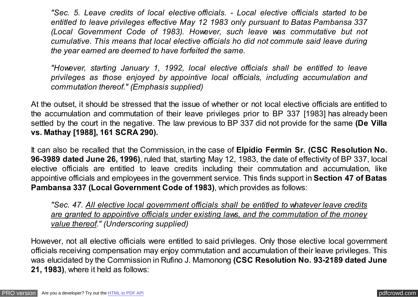*"Sec. 5. Leave credits of local elective officials. - Local elective officials started to be entitled to leave privileges effective May 12 1983 only pursuant to Batas Pambansa 337 (Local Government Code of 1983). However, such leave was commutative but not cumulative. This means that local elective officials ho did not commute said leave during the year earned are deemed to have forfeited the same.*

*"However, starting January 1, 1992, local elective officials shall be entitled to leave privileges as those enjoyed by appointive local officials, including accumulation and commutation thereof." (Emphasis supplied)*

At the outset, it should be stressed that the issue of whether or not local elective officials are entitled to the accumulation and commutation of their leave privileges prior to BP 337 [1983] has already been settled by the court in the negative. The law previous to BP 337 did not provide for the same **(De Villa vs. Mathay [1988], 161 SCRA 290).**

It can also be recalled that the Commission, in the case of **Elpidio Fermin Sr. (CSC Resolution No. 96-3989 dated June 26, 1996)**, ruled that, starting May 12, 1983, the date of effectivity of BP 337, local elective officials are entitled to leave credits including their commutation and accumulation, like appointive officials and employees in the government service. This finds support in **Section 47 of Batas Pambansa 337 (Local Government Code of 1983)**, which provides as follows:

*"Sec. 47. All elective local government officials shall be entitled to whatever leave credits are granted to appointive officials under existing laws, and the commutation of the money value thereof." (Underscoring supplied)*

However, not all elective officials were entitled to said privileges. Only those elective local government officials receiving compensation may enjoy commutation and accumulation of their leave privileges. This was elucidated by the Commission in Rufino J. Mamonong **(CSC Resolution No. 93-2189 dated June 21, 1983)**, where it held as follows: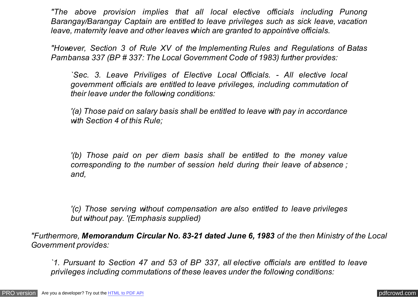*"The above provision implies that all local elective officials including Punong Barangay/Barangay Captain are entitled to leave privileges such as sick leave, vacation leave, maternity leave and other leaves which are granted to appointive officials.*

*"However, Section 3 of Rule XV of the Implementing Rules and Regulations of Batas Pambansa 337 (BP # 337: The Local Government Code of 1983) further provides:*

*`Sec. 3. Leave Priviliges of Elective Local Officials. - All elective local government officials are entitled to leave privileges, including commutation of their leave under the following conditions:*

*'(a) Those paid on salary basis shall be entitled to leave with pay in accordance with Section 4 of this Rule;*

*'(b) Those paid on per diem basis shall be entitled to the money value corresponding to the number of session held during their leave of absence ; and,*

*'(c) Those serving without compensation are also entitled to leave privileges but without pay. '(Emphasis supplied)*

*"Furthermore, Memorandum Circular No. 83-21 dated June 6, 1983 of the then Ministry of the Local Government provides:*

*`1. Pursuant to Section 47 and 53 of BP 337, all elective officials are entitled to leave privileges including commutations of these leaves under the following conditions:*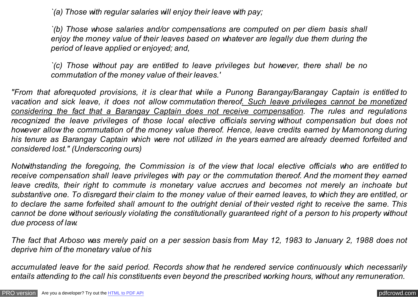*`(a) Those with regular salaries will enjoy their leave with pay;*

*`(b) Those whose salaries and/or compensations are computed on per diem basis shall enjoy the money value of their leaves based on whatever are legally due them during the period of leave applied or enjoyed; and,*

*`(c) Those without pay are entitled to leave privileges but however, there shall be no commutation of the money value of their leaves.'*

*"From that aforequoted provisions, it is clear that while a Punong Barangay/Barangay Captain is entitled to vacation and sick leave, it does not allow commutation thereof. Such leave privileges cannot be monetized considering the fact that a Barangay Captain does not receive compensation. The rules and regulations recognized the leave privileges of those local elective officials serving without compensation but does not however allow the commutation of the money value thereof. Hence, leave credits earned by Mamonong during his tenure as Barangay Captain which were not utilized in the years earned are already deemed forfeited and considered lost." (Underscoring ours)*

*Notwithstanding the foregoing, the Commission is of the view that local elective officials who are entitled to receive compensation shall leave privileges with pay or the commutation thereof. And the moment they earned leave credits, their right to commute is monetary value accrues and becomes not merely an inchoate but substantive one. To disregard their claim to the money value of their earned leaves, to which they are entitled, or to declare the same forfeited shall amount to the outright denial of their vested right to receive the same. This cannot be done without seriously violating the constitutionally guaranteed right of a person to his property without due process of law.*

*The fact that Arboso was merely paid on a per session basis from May 12, 1983 to January 2, 1988 does not deprive him of the monetary value of his*

*accumulated leave for the said period. Records show that he rendered service continuously which necessarily entails attending to the call his constituents even beyond the prescribed working hours, without any remuneration.*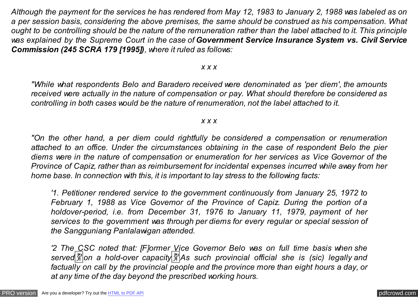*Although the payment for the services he has rendered from May 12, 1983 to January 2, 1988 was labeled as on a per session basis, considering the above premises, the same should be construed as his compensation. What ought to be controlling should be the nature of the remuneration rather than the label attached to it. This principle was explained by the Supreme Court in the case of Government Service Insurance System vs. Civil Service Commission (245 SCRA 179 [1995]), where it ruled as follows:*

#### *x x x*

*"While what respondents Belo and Baradero received were denominated as 'per diem', the amounts received were actually in the nature of compensation or pay. What should therefore be considered as controlling in both cases would be the nature of renumeration, not the label attached to it.*

## *x x x*

*"On the other hand, a per diem could rightfully be considered a compensation or renumeration attached to an office. Under the circumstances obtaining in the case of respondent Belo the pier diems were in the nature of compensation or enumeration for her services as Vice Governor of the Province of Capiz, rather than as reimbursement for incidental expenses incurred while away from her home base. In connection with this, it is important to lay stress to the following facts:*

*'1. Petitioner rendered service to the government continuously from January 25, 1972 to February 1, 1988 as Vice Governor of the Province of Capiz. During the portion of a holdover-period, i.e. from December 31, 1976 to January 11, 1979, payment of her services to the government was through per diems for every regular or special session of the Sangguniang Panlalawigan attended.*

*'2 The CSC noted that: [F]ormer Vice Governor Belo was on full time basis when she served*�*on a hold-over capacity*�*As such provincial official she is (sic) legally and factually on call by the provincial people and the province more than eight hours a day, or at any time of the day beyond the prescribed working hours.*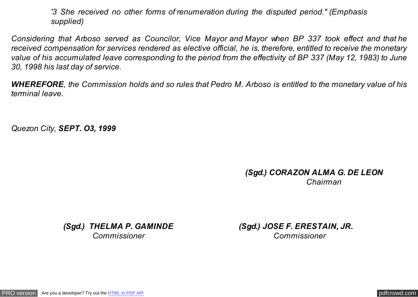*'3 She received no other forms of renumeration during the disputed period." (Emphasis supplied)*

*Considering that Arboso served as Councilor, Vice Mayor and Mayor when BP 337 took effect and that he received compensation for services rendered as elective official, he is, therefore, entitled to receive the monetary value of his accumulated leave corresponding to the period from the effectivity of BP 337 (May 12, 1983) to June 30, 1998 his last day of service.*

*WHEREFORE, the Commission holds and so rules that Pedro M. Arboso is entitled to the monetary value of his terminal leave.*

*Quezon City, SEPT. O3, 1999*

# *(Sgd.) CORAZON ALMA G. DE LEON Chairman*

*(Sgd.) THELMA P. GAMINDE (Sgd.) JOSE F. ERESTAIN, JR. Commissioner Commissioner*